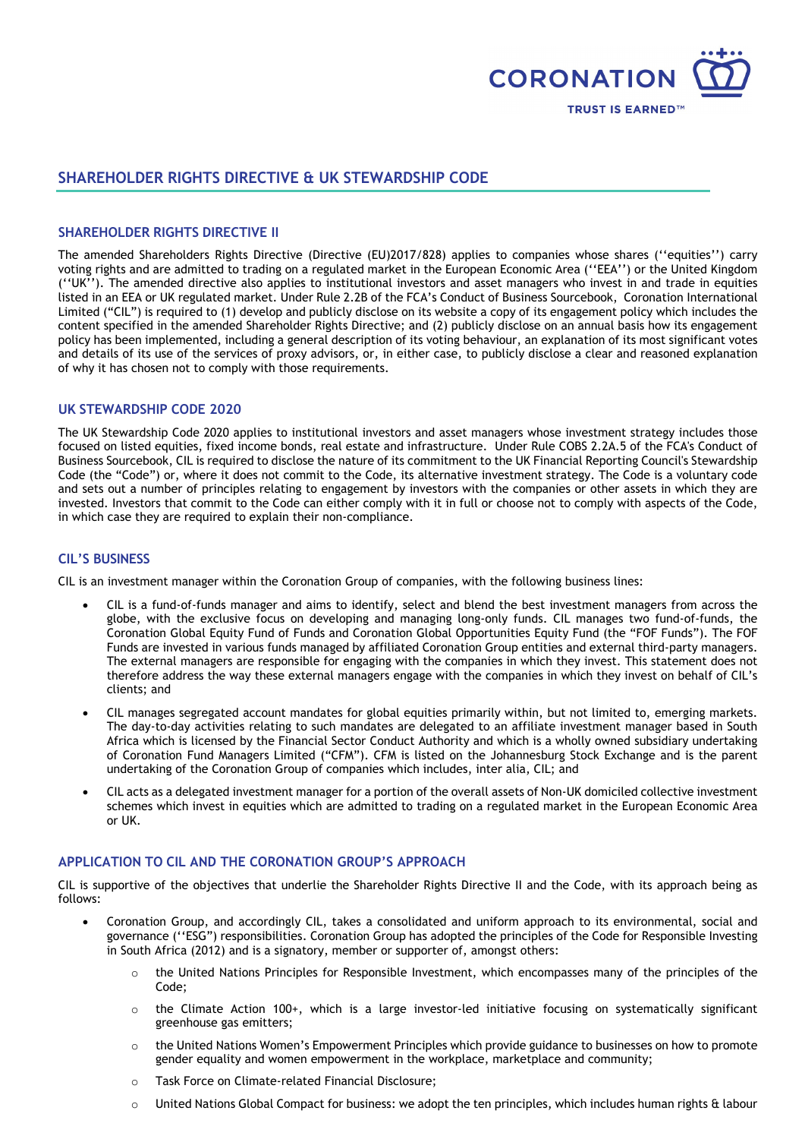

# **SHAREHOLDER RIGHTS DIRECTIVE & UK STEWARDSHIP CODE**

### **SHAREHOLDER RIGHTS DIRECTIVE II**

The amended Shareholders Rights Directive (Directive (EU)2017/828) applies to companies whose shares (''equities'') carry voting rights and are admitted to trading on a regulated market in the European Economic Area (''EEA'') or the United Kingdom (''UK''). The amended directive also applies to institutional investors and asset managers who invest in and trade in equities listed in an EEA or UK regulated market. Under Rule 2.2B of the FCA's Conduct of Business Sourcebook, Coronation International Limited ("CIL") is required to (1) develop and publicly disclose on its website a copy of its engagement policy which includes the content specified in the amended Shareholder Rights Directive; and (2) publicly disclose on an annual basis how its engagement policy has been implemented, including a general description of its voting behaviour, an explanation of its most significant votes and details of its use of the services of proxy advisors, or, in either case, to publicly disclose a clear and reasoned explanation of why it has chosen not to comply with those requirements.

### **UK STEWARDSHIP CODE 2020**

The UK Stewardship Code 2020 applies to institutional investors and asset managers whose investment strategy includes those focused on listed equities, fixed income bonds, real estate and infrastructure. Under Rule COBS 2.2A.5 of the FCA's Conduct of Business Sourcebook, CIL is required to disclose the nature of its commitment to the UK Financial Reporting Council's Stewardship Code (the "Code") or, where it does not commit to the Code, its alternative investment strategy. The Code is a voluntary code and sets out a number of principles relating to engagement by investors with the companies or other assets in which they are invested. Investors that commit to the Code can either comply with it in full or choose not to comply with aspects of the Code, in which case they are required to explain their non-compliance.

### **CIL'S BUSINESS**

CIL is an investment manager within the Coronation Group of companies, with the following business lines:

- CIL is a fund-of-funds manager and aims to identify, select and blend the best investment managers from across the globe, with the exclusive focus on developing and managing long-only funds. CIL manages two fund-of-funds, the Coronation Global Equity Fund of Funds and Coronation Global Opportunities Equity Fund (the "FOF Funds"). The FOF Funds are invested in various funds managed by affiliated Coronation Group entities and external third-party managers. The external managers are responsible for engaging with the companies in which they invest. This statement does not therefore address the way these external managers engage with the companies in which they invest on behalf of CIL's clients; and
- CIL manages segregated account mandates for global equities primarily within, but not limited to, emerging markets. The day-to-day activities relating to such mandates are delegated to an affiliate investment manager based in South Africa which is licensed by the Financial Sector Conduct Authority and which is a wholly owned subsidiary undertaking of Coronation Fund Managers Limited ("CFM"). CFM is listed on the Johannesburg Stock Exchange and is the parent undertaking of the Coronation Group of companies which includes, inter alia, CIL; and
- CIL acts as a delegated investment manager for a portion of the overall assets of Non-UK domiciled collective investment schemes which invest in equities which are admitted to trading on a regulated market in the European Economic Area or UK.

## **APPLICATION TO CIL AND THE CORONATION GROUP'S APPROACH**

CIL is supportive of the objectives that underlie the Shareholder Rights Directive II and the Code, with its approach being as follows:

- Coronation Group, and accordingly CIL, takes a consolidated and uniform approach to its environmental, social and governance (''ESG") responsibilities. Coronation Group has adopted the principles of the Code for Responsible Investing in South Africa (2012) and is a signatory, member or supporter of, amongst others:
	- o the United Nations Principles for Responsible Investment, which encompasses many of the principles of the Code;
	- the Climate Action 100+, which is a large investor-led initiative focusing on systematically significant greenhouse gas emitters;
	- o the United Nations Women's Empowerment Principles which provide guidance to businesses on how to promote gender equality and women empowerment in the workplace, marketplace and community;
	- o Task Force on Climate-related Financial Disclosure;
	- $\circ$  United Nations Global Compact for business: we adopt the ten principles, which includes human rights & labour